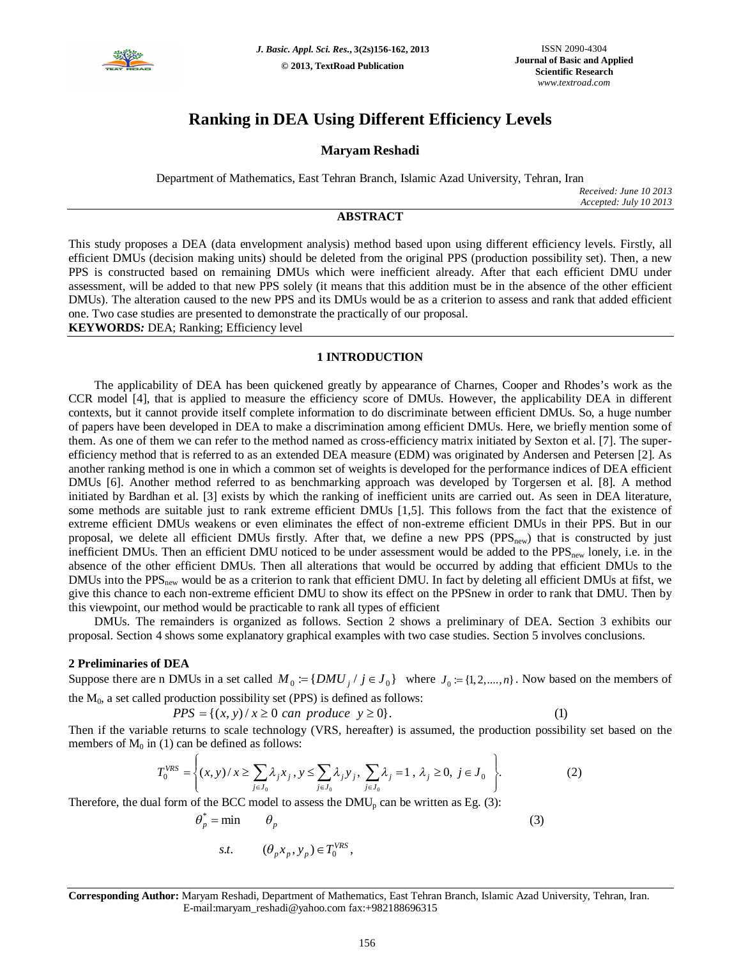

# **Ranking in DEA Using Different Efficiency Levels**

# **Maryam Reshadi**

Department of Mathematics, East Tehran Branch, Islamic Azad University, Tehran, Iran

*Received: June 10 2013 Accepted: July 10 2013*

## **ABSTRACT**

This study proposes a DEA (data envelopment analysis) method based upon using different efficiency levels. Firstly, all efficient DMUs (decision making units) should be deleted from the original PPS (production possibility set). Then, a new PPS is constructed based on remaining DMUs which were inefficient already. After that each efficient DMU under assessment, will be added to that new PPS solely (it means that this addition must be in the absence of the other efficient DMUs). The alteration caused to the new PPS and its DMUs would be as a criterion to assess and rank that added efficient one. Two case studies are presented to demonstrate the practically of our proposal.

**KEYWORDS***:* DEA; Ranking; Efficiency level

#### **1 INTRODUCTION**

The applicability of DEA has been quickened greatly by appearance of Charnes, Cooper and Rhodes's work as the CCR model [4], that is applied to measure the efficiency score of DMUs. However, the applicability DEA in different contexts, but it cannot provide itself complete information to do discriminate between efficient DMUs. So, a huge number of papers have been developed in DEA to make a discrimination among efficient DMUs. Here, we briefly mention some of them. As one of them we can refer to the method named as cross-efficiency matrix initiated by Sexton et al. [7]. The superefficiency method that is referred to as an extended DEA measure (EDM) was originated by Andersen and Petersen [2]. As another ranking method is one in which a common set of weights is developed for the performance indices of DEA efficient DMUs [6]. Another method referred to as benchmarking approach was developed by Torgersen et al. [8]. A method initiated by Bardhan et al. [3] exists by which the ranking of inefficient units are carried out. As seen in DEA literature, some methods are suitable just to rank extreme efficient DMUs [1,5]. This follows from the fact that the existence of extreme efficient DMUs weakens or even eliminates the effect of non-extreme efficient DMUs in their PPS. But in our proposal, we delete all efficient DMUs firstly. After that, we define a new PPS ( $PPS_{new}$ ) that is constructed by just inefficient DMUs. Then an efficient DMU noticed to be under assessment would be added to the PPS<sub>new</sub> lonely, i.e. in the absence of the other efficient DMUs. Then all alterations that would be occurred by adding that efficient DMUs to the DMUs into the  $PPS<sub>new</sub>$  would be as a criterion to rank that efficient DMU. In fact by deleting all efficient DMUs at fifst, we give this chance to each non-extreme efficient DMU to show its effect on the PPSnew in order to rank that DMU. Then by this viewpoint, our method would be practicable to rank all types of efficient

DMUs. The remainders is organized as follows. Section 2 shows a preliminary of DEA. Section 3 exhibits our proposal. Section 4 shows some explanatory graphical examples with two case studies. Section 5 involves conclusions.

#### **2 Preliminaries of DEA**

 $\sqrt{ }$ 

Suppose there are n DMUs in a set called  $M_0 := \{DMU_j / j \in J_0\}$  where  $J_0 := \{1, 2, ..., n\}$ . Now based on the members of the  $M_0$ , a set called production possibility set (PPS) is defined as follows:

 $PPS = \{(x, y) / x \ge 0 \text{ can produce } y \ge 0\}.$  (1)

<sup>1</sup>

Then if the variable returns to scale technology (VRS, hereafter) is assumed, the production possibility set based on the members of  $M_0$  in (1) can be defined as follows:

$$
T_0^{VRS} = \left\{ (x, y) / x \ge \sum_{j \in J_0} \lambda_j x_j, y \le \sum_{j \in J_0} \lambda_j y_j, \sum_{j \in J_0} \lambda_j = 1, \lambda_j \ge 0, j \in J_0 \right\}.
$$
 (2)

Therefore, the dual form of the BCC model to assess the  $DMU<sub>p</sub>$  can be written as Eg. (3):

$$
\theta_p^* = \min \qquad \theta_p
$$
  
s.t. 
$$
(\theta_p x_p, y_p) \in T_0^{VRS},
$$
 (3)

**Corresponding Author:** Maryam Reshadi, Department of Mathematics, East Tehran Branch, Islamic Azad University, Tehran, Iran. E-mail:maryam\_reshadi@yahoo.com fax:+982188696315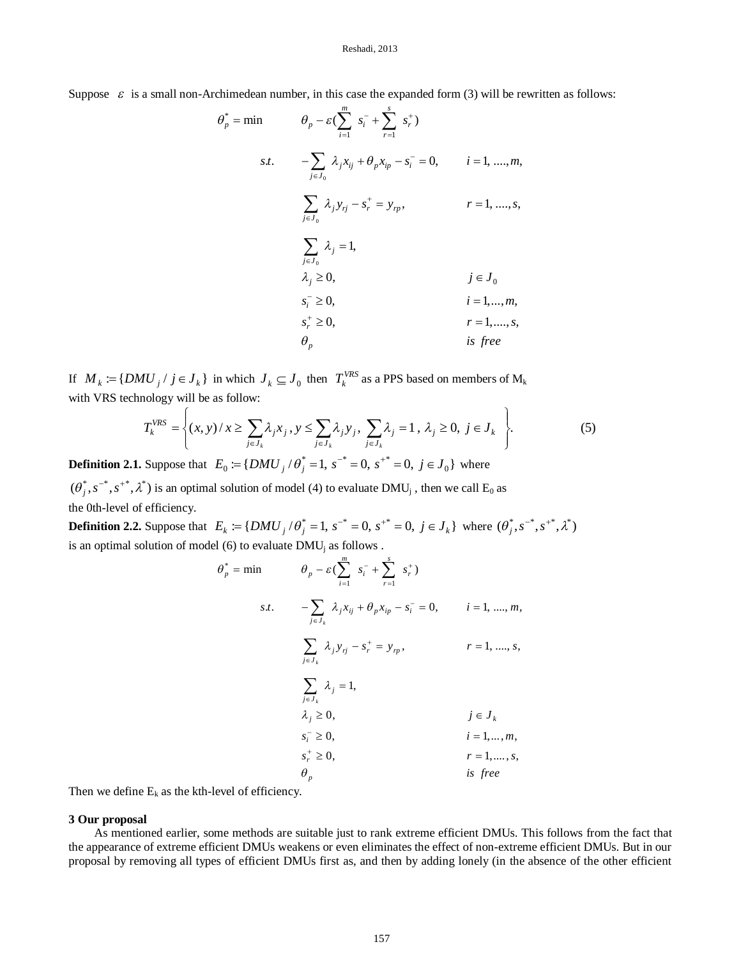Suppose  $\varepsilon$  is a small non-Archimedean number, in this case the expanded form (3) will be rewritten as follows:

$$
\theta_p^* = \min \qquad \theta_p - \varepsilon (\sum_{i=1}^m s_i^- + \sum_{r=1}^s s_r^+) \ns.t. \qquad -\sum_{j \in J_0} \lambda_j x_{ij} + \theta_p x_{ip} - s_i^- = 0, \qquad i = 1, ..., m, \n\sum_{j \in J_0} \lambda_j y_{rj} - s_r^+ = y_{rp}, \qquad r = 1, ..., s, \n\sum_{j \in J_0} \lambda_j = 1, \n\lambda_j \ge 0, \qquad j \in J_0 \ns_i^- \ge 0, \qquad i = 1, ..., m, \ns_r^+ \ge 0, \qquad i = 1, ..., s, \n\theta_p \qquad \text{is free}
$$

If  $M_k := \{DMU_j \mid j \in J_k \}$  in which  $J_k \subseteq J_0$  then  $T_k^{VRS}$  as a PPS based on members of  $M_k$ with VRS technology will be as follow:  $\overline{1}$ 

$$
T_k^{VRS} = \left\{ (x, y) / x \ge \sum_{j \in J_k} \lambda_j x_j, y \le \sum_{j \in J_k} \lambda_j y_j, \sum_{j \in J_k} \lambda_j = 1, \lambda_j \ge 0, j \in J_k \right\}.
$$
 (5)

**Definition 2.1.** Suppose that  $E_0 = \{DMU_j / \theta_j^* = 1, s^{-*} = 0, s^{+*} = 0, j \in J_0\}$  where  $(\theta_j^*, s^{-*}, s^{+*}, \lambda^*)$  is an optimal solution of model (4) to evaluate DMU<sub>j</sub>, then we call E<sub>0</sub> as

the 0th-level of efficiency.

**Definition 2.2.** Suppose that  $E_k := \{DMU_j / \theta_j^* = 1, s^{-*} = 0, s^{+*} = 0, j \in J_k \}$  where  $(\theta_j^*, s^{-*}, s^{+*}, \lambda^*)$ is an optimal solution of model (6) to evaluate  $DMU$ <sub>i</sub> as follows .

$$
\theta_p^* = \min \qquad \theta_p - \varepsilon (\sum_{i=1}^m s_i^- + \sum_{r=1}^s s_r^+) \ns.t. \qquad -\sum_{j \in J_k} \lambda_j x_{ij} + \theta_p x_{ip} - s_i^- = 0, \qquad i = 1, ..., m, \sum_{j \in J_k} \lambda_j y_{rj} - s_r^+ = y_{rp}, \qquad r = 1, ..., s, \sum_{j \in J_k} \lambda_j = 1, \lambda_j \ge 0, \qquad j \in J_k \ns_i^- \ge 0, \qquad i = 1, ..., m, \ns_r^+ \ge 0, \qquad i = 1, ..., s, \theta_p \qquad \text{is free}
$$

Then we define  $E_k$  as the kth-level of efficiency.

#### **3 Our proposal**

As mentioned earlier, some methods are suitable just to rank extreme efficient DMUs. This follows from the fact that the appearance of extreme efficient DMUs weakens or even eliminates the effect of non-extreme efficient DMUs. But in our proposal by removing all types of efficient DMUs first as, and then by adding lonely (in the absence of the other efficient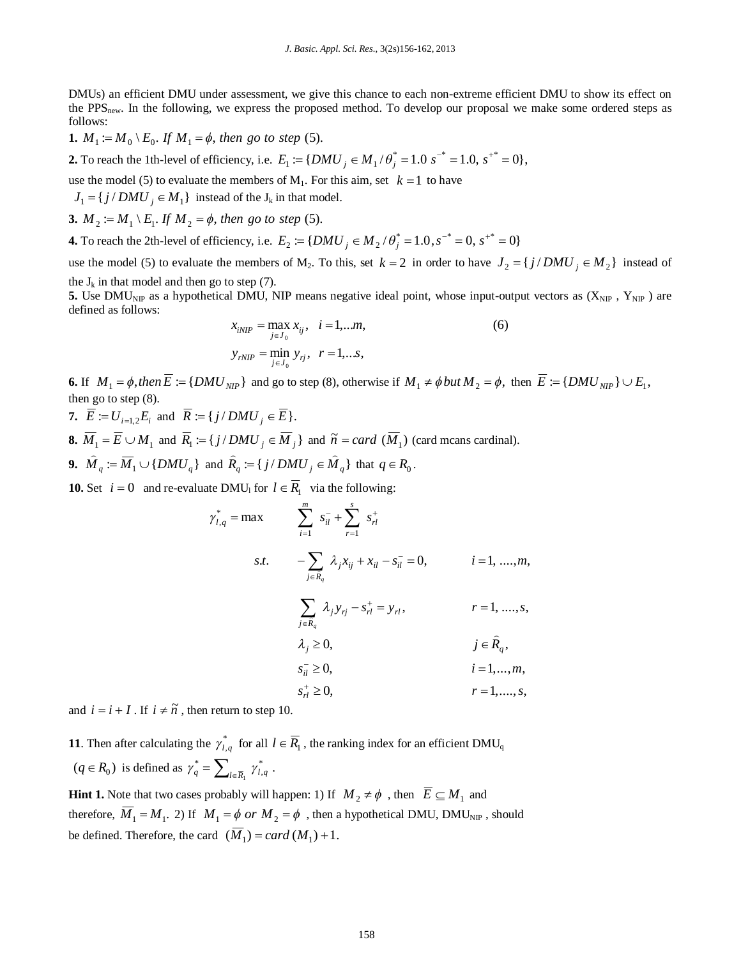DMUs) an efficient DMU under assessment, we give this chance to each non-extreme efficient DMU to show its effect on the PPS<sub>new</sub>. In the following, we express the proposed method. To develop our proposal we make some ordered steps as follows:

**1.**  $M_1 := M_0 \setminus E_0$ . If  $M_1 = \phi$ , then go to step (5).

**2.** To reach the 1th-level of efficiency, i.e.  $E_1 := \{DMU_j \in M_1 / \theta_j^* = 1.0 \text{ s}^{-*} = 1.0 \text{ s}^{-*} = 0 \},$ 

use the model (5) to evaluate the members of  $M_1$ . For this aim, set  $k = 1$  to have

 ${J_1} = {j / DMU_j \in M_1}$  instead of the  ${J_k}$  in that model.

**3.**  $M_2 := M_1 \setminus E_1$ . If  $M_2 = \phi$ , then go to step (5).

**4.** To reach the 2th-level of efficiency, i.e.  $E_2 := \{DMU_j \in M_2 / \theta_j^* = 1.0, s^{-*} = 0, s^{+*} = 0\}$ 

use the model (5) to evaluate the members of M<sub>2</sub>. To this, set  $k = 2$  in order to have  $J_2 = \{j / DMU_j \in M_2\}$  instead of the  $J_k$  in that model and then go to step (7).

**5.** Use DMU<sub>NIP</sub> as a hypothetical DMU, NIP means negative ideal point, whose input-output vectors as  $(X_{NIP}, Y_{NIP})$  are defined as follows:

$$
x_{iNP} = \max_{j \in J_0} x_{ij}, \quad i = 1,...m,
$$
  

$$
y_{rNIP} = \min_{j \in J_0} y_{rj}, \quad r = 1,...s,
$$
 (6)

**6.** If  $M_1 = \phi$ , then  $\overline{E} := \{DMU_{NIP}\}$  and go to step (8), otherwise if  $M_1 \neq \phi$  but  $M_2 = \phi$ , then  $\overline{E} := \{DMU_{NIP}\} \cup E_1$ , then go to step (8).

**7.**  $E := U_{i=1,2}E_i$  and  $R := \{ j / DMU_j \in E \}.$ 

**8.**  $\overline{M}_1 = \overline{E} \cup M_1$  and  $\overline{R}_1 := \{j / DMU_j \in \overline{M}_j\}$  and  $\widetilde{n} = card(\overline{M}_1)$  (card mcans cardinal).

**9.** 
$$
\widehat{M}_q := \overline{M}_1 \cup \{DMU_q\}
$$
 and  $\widehat{R}_q := \{j / DMU_j \in \widehat{M}_q\}$  that  $q \in R_0$ .

**10.** Set  $i = 0$  and re-evaluate DMU<sub>l</sub> for  $l \in R_1$  via the following:

$$
\gamma_{l,q}^{*} = \max \qquad \sum_{i=1}^{m} s_{il}^{-} + \sum_{r=1}^{s} s_{rl}^{+}
$$
\n
$$
s.t. \qquad -\sum_{j \in \bar{R}_{q}} \lambda_{j} x_{ij} + x_{il} - s_{il}^{-} = 0, \qquad i = 1, ..., m,
$$
\n
$$
\sum_{j \in \bar{R}_{q}} \lambda_{j} y_{rj} - s_{rl}^{+} = y_{rl}, \qquad r = 1, ..., s,
$$
\n
$$
\lambda_{j} \ge 0, \qquad j \in \bar{R}_{q},
$$
\n
$$
s_{il}^{-} \ge 0, \qquad i = 1, ..., m,
$$
\n
$$
s_{rl}^{+} \ge 0, \qquad r = 1, ..., s,
$$
\n
$$
r = 1, ..., s,
$$

and  $i = i + I$ . If  $i \neq \tilde{n}$ , then return to step 10.

**11**. Then after calculating the  $\gamma_{l,q}^*$  for all  $l \in \overline{R}_l$ , the ranking index for an efficient DMU<sub>q</sub>  $(q \in R_0)$  is defined as  $\gamma_q^* = \sum_{l \in \overline{R}_1}$  $\gamma_q^* = \sum\nolimits_{l \in \overline{R}_q} \gamma_{l,q}^*$  $\gamma_q^* = \sum_{l \in \overline{R}_1} \gamma_{l,q}^*$ .

**Hint 1.** Note that two cases probably will happen: 1) If  $M_2 \neq \phi$ , then  $E \subseteq M_1$  and therefore,  $M_1 = M_1$ . 2) If  $M_1 = \phi$  or  $M_2 = \phi$ , then a hypothetical DMU, DMU<sub>NIP</sub>, should be defined. Therefore, the card  $(\overline{M}_1) = card(M_1) + 1$ .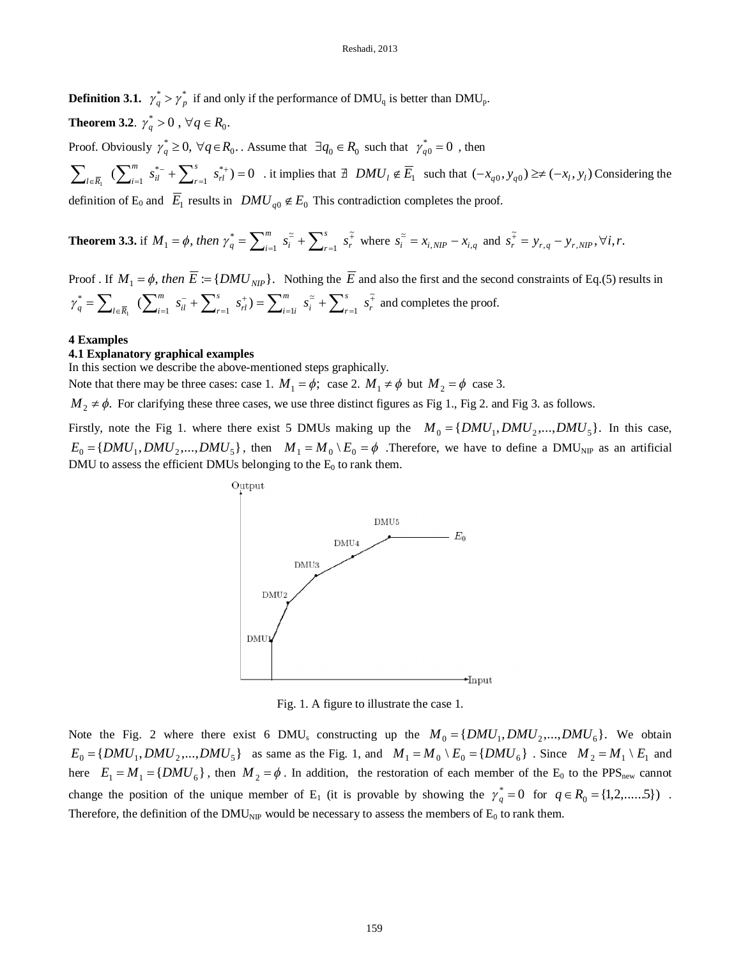**Definition 3.1.**  $\gamma_q^* > \gamma_p^*$  if and only if the performance of DMU<sub>q</sub> is better than DMU<sub>p</sub>.

**Theorem 3.2**.  $\gamma_q^* > 0$  ,  $\forall q \in R_0$ .

Proof. Obviously  $\gamma_q^* \ge 0$ ,  $\forall q \in R_0$ . Assume that  $\exists q_0 \in R_0$  such that  $\gamma_{q0}^* = 0$ , then

 $(\sum_{i=1}^m s_{il}^{*-} + \sum_{i=1}^s s_{il}^{*+}) = 0$ 1 \*  $\sum_{i=1}^{m} S_{il}^{*} + \sum_{r=1}^{s} S_{rl}^{*}$  =  $\sum_{l \in \overline{R}_1}$   $\left( \sum_{i=1}^m s_{il}^{*-} + \sum_{r=1}^s s_{rl}^{*} \right)$ *r il m*  $\sum_{i\in \overline{R}_1}^{R_i}$   $\left(\sum_{i=1}^{m} s_{il}^{* -} + \sum_{r=1}^{n} s_{rl}^{* +} \right) = 0$  . it implies that  $\exists$  *DMU<sub>l</sub>*  $\notin E_1$  such that  $(-x_{q0}, y_{q0}) \ge \ne (-x_l, y_l)$  Considering the definition of E<sub>0</sub> and  $E_1$  results in  $DMU_{q0} \notin E_0$  This contradiction completes the proof.

#### **Theorem 3.3.** if  $M_1 = \phi$ , then  $\gamma_q^* = \sum_{i=1}^m s_i^2 + \sum_{r=1}^s s_r^2$  $=\phi$ , then  $\gamma_q^* = \sum_{i=1}^m s_i^2 + \sum_{r=1}^s s_r^2$ 1 ~ 1  $Y_1 = \phi$ , then  $\gamma_q^* = \sum_{i=1}^m s_i^2 + \sum_{r=1}^s s_r^2$ *s r i m*  $M_1 = \phi$ , then  $\gamma_q^* = \sum_{i=1}^m s_i^2 + \sum_{r=1}^s s_r^2$  where  $s_i^2 = x_{i,NIP} - x_{i,q}$  and  $s_r^2 = y_{r,q} - y_{r,NIP}, \forall i, r$ .  $s_r^{\tilde{+}} = y_{r,q} - y_{r,NIP}, \forall i, r$

Proof. If  $M_1 = \phi$ , then  $\overline{E} := \{DMU_{NIP}\}\$ . Nothing the  $\overline{E}$  and also the first and the second constraints of Eq.(5) results in Ĩ  $=$  $\approx$ =  $^{+}$ =  $=\sum_{l\in\overline{R}_{1}}\left(\sum_{i=1}^{m} s_{il}^{-} + \sum_{r=1}^{s} s_{rl}^{+}\right) = \sum_{i=1}^{m} s_{i}^{-} + \sum_{r=1}^{s} s_{r}^{+}$ 1 ~ 1  $u \leftarrow r-1$   $n' \leftarrow i-1$  $S_q^* = \sum_{l \in \overline{R}_1} \sum_{i=1}^m s_{il}^- + \sum_{r=1}^s s_{rl}^+$   $\sum_{i=1}^m s_i^{\epsilon} + \sum_{r=1}^s s_r^{\epsilon}$ *s i*  $\frac{1}{r}$ *m*  $\mu$ <sup>*j*</sup>  $\sum_{i=1i}$ *s*  $e^{i l}$ <sup> $\angle$ </sup> *m*  $\gamma_q^* = \sum_{l \in \overline{R}_1} (\sum_{i=1}^m s_{il}^- + \sum_{r=1}^s s_{rl}^+) = \sum_{i=1}^m s_i^- + \sum_{r=1}^s s_r^+$  and completes the proof.

# **4 Examples**

#### **4.1 Explanatory graphical examples**

In this section we describe the above-mentioned steps graphically.

Note that there may be three cases: case 1.  $M_1 = \phi$ ; case 2.  $M_1 \neq \phi$  but  $M_2 = \phi$  case 3.

 $M_2 \neq \phi$ . For clarifying these three cases, we use three distinct figures as Fig 1., Fig 2. and Fig 3. as follows.

Firstly, note the Fig 1. where there exist 5 DMUs making up the  $M_0 = \{DMU_1, DMU_2, ..., DMU_5\}$ . In this case,  ${E_0} = {DMU_1, DMU_2, ..., DMU_5}$ , then  $M_1 = M_0 \setminus E_0 = \phi$ . Therefore, we have to define a DMU<sub>NIP</sub> as an artificial DMU to assess the efficient DMUs belonging to the  $E_0$  to rank them.



Fig. 1. A figure to illustrate the case 1.

Note the Fig. 2 where there exist 6 DMU<sub>s</sub> constructing up the  $M_0 = \{DMU_1, DMU_2, ..., DMU_6\}$ . We obtain  $E_0 = \{DMU_1, DMU_2, ..., DMU_5\}$  as same as the Fig. 1, and  $M_1 = M_0 \setminus E_0 = \{DMU_6\}$ . Since  $M_2 = M_1 \setminus E_1$  and here  $E_1 = M_1 = \{DMU_6\}$ , then  $M_2 = \phi$ . In addition, the restoration of each member of the E<sub>0</sub> to the PPS<sub>new</sub> cannot change the position of the unique member of E<sub>1</sub> (it is provable by showing the  $\gamma_q^* = 0$  for  $q \in R_0 = \{1, 2, \dots, 5\}$ ). Therefore, the definition of the  $DMU_{\text{NIP}}$  would be necessary to assess the members of  $E_0$  to rank them.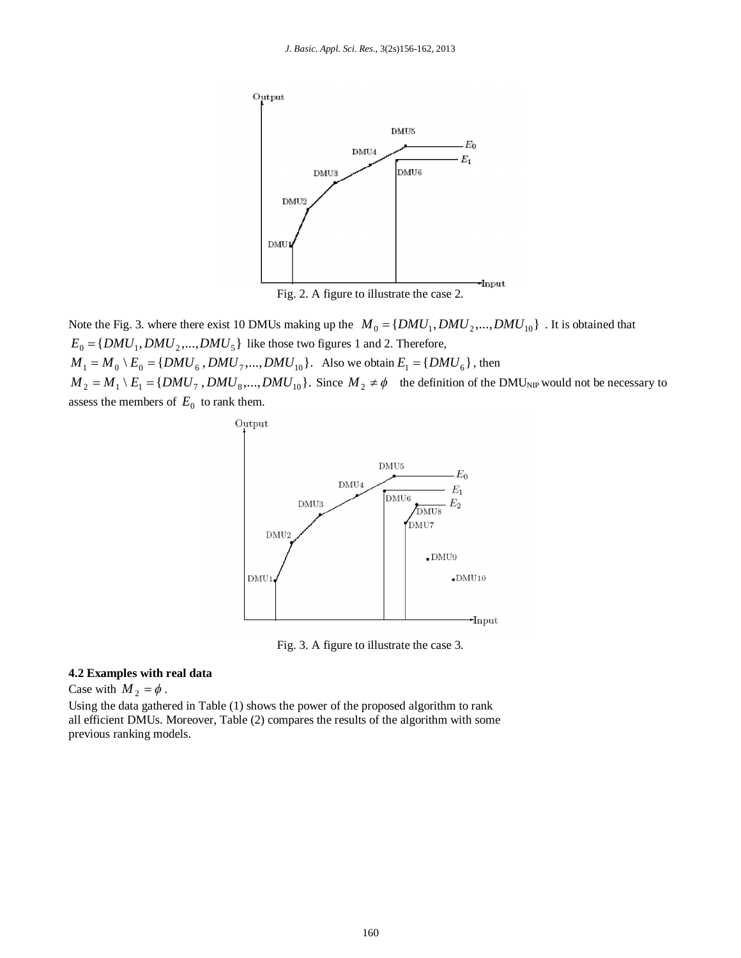

Fig. 2. A figure to illustrate the case 2.

Note the Fig. 3. where there exist 10 DMUs making up the  $M_0 = \{DMU_1, DMU_2, ..., DMU_{10}\}$ . It is obtained that  ${E_0} = {DMU_1, DMU_2, ..., DMU_5}$  like those two figures 1 and 2. Therefore,  ${M_1} = {M_0} \setminus {E_0} = \{DMU_6, DMU_7, ..., DMU_{10}\}.$  Also we obtain  ${E_1} = \{DMU_6\}$ , then  $M_2 = M_1 \setminus E_1 = \{DMU_7, DMU_8, \ldots, DMU_{10}\}\$ . Since  $M_2 \neq \phi$  the definition of the DMU<sub>NIP</sub> would not be necessary to assess the members of  $E_0$  to rank them.



Fig. 3. A figure to illustrate the case 3.

# **4.2 Examples with real data**

Case with  $M_2 = \phi$ .

Using the data gathered in Table (1) shows the power of the proposed algorithm to rank all efficient DMUs. Moreover, Table (2) compares the results of the algorithm with some previous ranking models.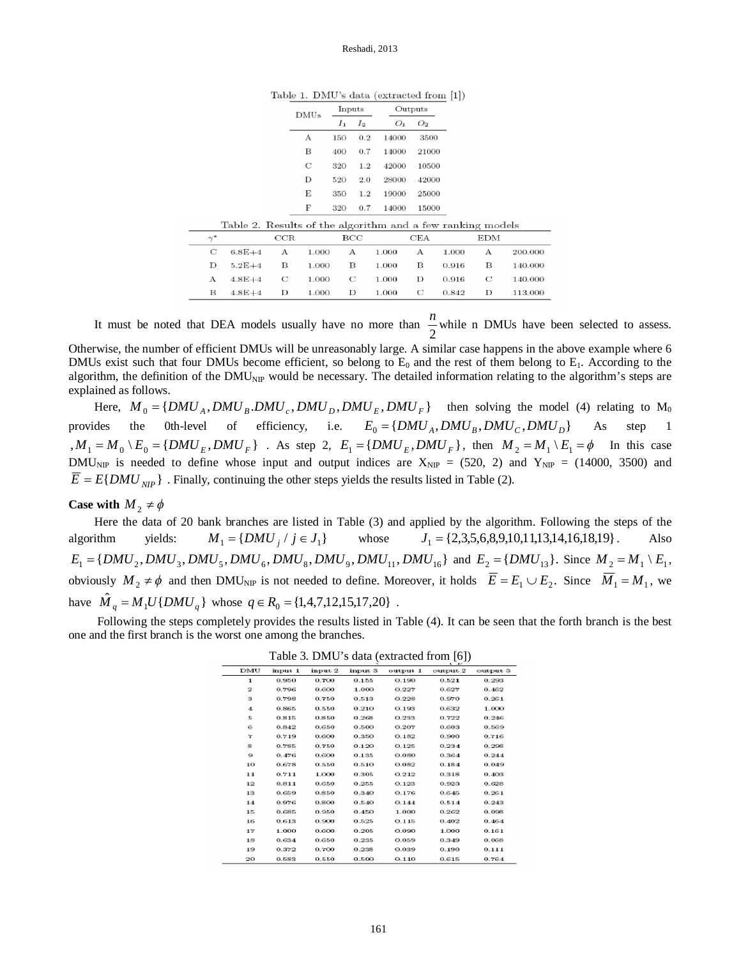Table 1. DMU's data (extracted from [1])

| $_{\rm DMUs}$ | Inputs |                | Outputs |       |  |
|---------------|--------|----------------|---------|-------|--|
|               | $I_1$  | I <sub>2</sub> | Ο1      | O2    |  |
| A             | 150    | 02             | 14000   | 3500  |  |
| в             | 400    | 0.7            | 14000   | 21000 |  |
| C             | 320    | 1.2            | 42000   | 10500 |  |
| Ð             | 520    | 2.0            | 28000   | 42000 |  |
| E             | 350    | 1.2            | 19000   | 25000 |  |
| F             | 320    | 0.7            | 14000   | 15000 |  |
|               |        |                |         |       |  |

| Table 2. Results of the algorithm and a few ranking models |          |            |              |       |     |       |              |       |     |         |
|------------------------------------------------------------|----------|------------|--------------|-------|-----|-------|--------------|-------|-----|---------|
|                                                            | $\sim$ * |            | $_{\rm CCR}$ |       | BCC |       | CEA          |       | EDM |         |
|                                                            | С        | $6.8E + 4$ | А            | 1.000 | А   | 1.000 | $\mathbf{A}$ | 1.000 | А   | 200.000 |
|                                                            | D        | $5.2E + 4$ | в            | 1.000 | в   | 1.000 | в            | 0.916 | в   | 140.000 |
|                                                            | A        | $4.8E+4$   | С            | 1.000 | C   | 1.000 | Ð            | 0.916 | C   | 140.000 |
|                                                            | в        | $4.8E+4$   | D            | 1.000 | D   | 1.000 | C            | 0.842 | Ð   | 113.000 |
|                                                            |          |            |              |       |     |       |              |       |     |         |

It must be noted that DEA models usually have no more than  $\frac{\pi}{2}$  $\frac{n}{s}$  while n DMUs have been selected to assess.

Otherwise, the number of efficient DMUs will be unreasonably large. A similar case happens in the above example where 6 DMUs exist such that four DMUs become efficient, so belong to  $E_0$  and the rest of them belong to  $E_1$ . According to the algorithm, the definition of the  $DMU_{\text{NP}}$  would be necessary. The detailed information relating to the algorithm's steps are explained as follows.

Here,  ${M}_{0} = {DMU}_{A}$ ,  ${DMU}_{B}$ ,  ${DMU}_{c}$ ,  ${DMU}_{D}$ ,  ${DMU}_{E}$ ,  ${DMU}_{F}$ } then solving the model (4) relating to  $M_{0}$ provides the 0th-level of efficiency, i.e.  $E_0 = \{DMU_A, DMU_B, DMU_C, DMU_D\}$  As step 1  $, {M_1 = M_0 \setminus E_0 = \{DMU_E, DMU_F\}}$ . As step 2,  $E_1 = \{DMU_E, DMU_F\}$ , then  $M_2 = M_1 \setminus E_1 = \emptyset$  In this case DMU<sub>NIP</sub> is needed to define whose input and output indices are  $X_{NIP} = (520, 2)$  and  $Y_{NIP} = (14000, 3500)$  and  ${\overline{E}} = E\{DMU_{NIP}\}\.$  Finally, continuing the other steps yields the results listed in Table (2).

# **Case with**  $M_2 \neq \phi$

Here the data of 20 bank branches are listed in Table (3) and applied by the algorithm. Following the steps of the algorithm yields:  $M_1 = \{DMU_j \mid j \in J_1\}$  whose  $J_1 = \{2, 3, 5, 6, 8, 9, 10, 11, 13, 14, 16, 18, 19\}$ . Also  $E_1 = \{DMU_2, DMU_3, DMU_5, DMU_6, DMU_8, DMU_9, DMU_{11}, DMU_{16} \}$  and  $E_2 = \{DMU_{13}\}\$ . Since  $M_2 = M_1 \setminus E_1$ , obviously  $M_2 \neq \phi$  and then DMU<sub>NIP</sub> is not needed to define. Moreover, it holds  $E = E_1 \cup E_2$ . Since  $M_1 = M_1$ , we have  ${\hat{M}}_q = M_1 U \{DMU_q\}$  whose  $q \in R_0 = \{1, 4, 7, 12, 15, 17, 20\}$ .

Following the steps completely provides the results listed in Table (4). It can be seen that the forth branch is the best one and the first branch is the worst one among the branches.

| $1$ able 5. DIVIO is data (extracted from [0])<br><b>L. AF</b> |         |         |         |          |          |          |
|----------------------------------------------------------------|---------|---------|---------|----------|----------|----------|
| DMU                                                            | input 1 | input 2 | input 3 | output 1 | output 2 | output 3 |
| $\mathbf{1}$                                                   | 0.950   | 0.700   | 0.155   | 0.190    | 0.521    | 0.293    |
| $\overline{2}$                                                 | 0.796   | 0.600   | 1.000   | 0.227    | 0.627    | 0.462    |
| з                                                              | 0.798   | 0.750   | 0.513   | 0.228    | 0.970    | 0.261    |
| 4                                                              | 0.865   | 0.550   | 0.210   | 0.193    | 0.632    | 1.000    |
| 5.                                                             | 0.815   | 0.850   | 0.268   | 0.233    | 0.722    | 0.246    |
| G.                                                             | 0.842   | 0.650   | 0.500   | 0.207    | 0.603.   | 0.569    |
| 7                                                              | 0.719   | 0.600   | 0.350   | 0.182    | 0.900    | 0.716    |
| 8.                                                             | 0.785   | 0.750   | 0.120   | 0.125    | 0.234    | 0.298    |
| 9                                                              | 0.476   | 0.600   | 0.135   | 0.080    | 0.364    | 0.244    |
| 10                                                             | 0.678   | 0.550   | 0.510   | 0.082    | 0.184    | 0.049    |
| 11                                                             | 0.711   | 1.000   | 0.305   | 0.212    | 0.318    | 0.408    |
| 12                                                             | 0.811   | 0.650   | 0.255   | 0.123    | 0.923    | 0.628    |
| 13                                                             | 0.659   | 0.850   | 0.340   | 0.176    | 0.645    | 0.261    |
| 14                                                             | 0.976   | 0.800   | 0.540   | 0.144    | 0.514    | 0.243    |
| 15                                                             | 0.685   | 0.950   | 0.450   | 1.000    | 0.262    | 0.098    |
| 16                                                             | 0.613   | 0.900   | 0.525   | 0.115    | 0.402    | 0.464    |
| 17                                                             | 1.000   | 0.600.  | 0.205   | 0.090    | 1.000    | 0.161    |
| 18                                                             | 0.634   | 0.650   | 0.235   | 0.059    | 0.349    | 0.068    |
| 19                                                             | 0.372   | 0.700   | 0.238   | 0.039    | 0.190    | 0.111    |
| 90.                                                            | 0.589   | 0.550   | 0.500   | 0.110    | 0.615    | 0.764    |

Table 3. DMU's data (extracted from [6])